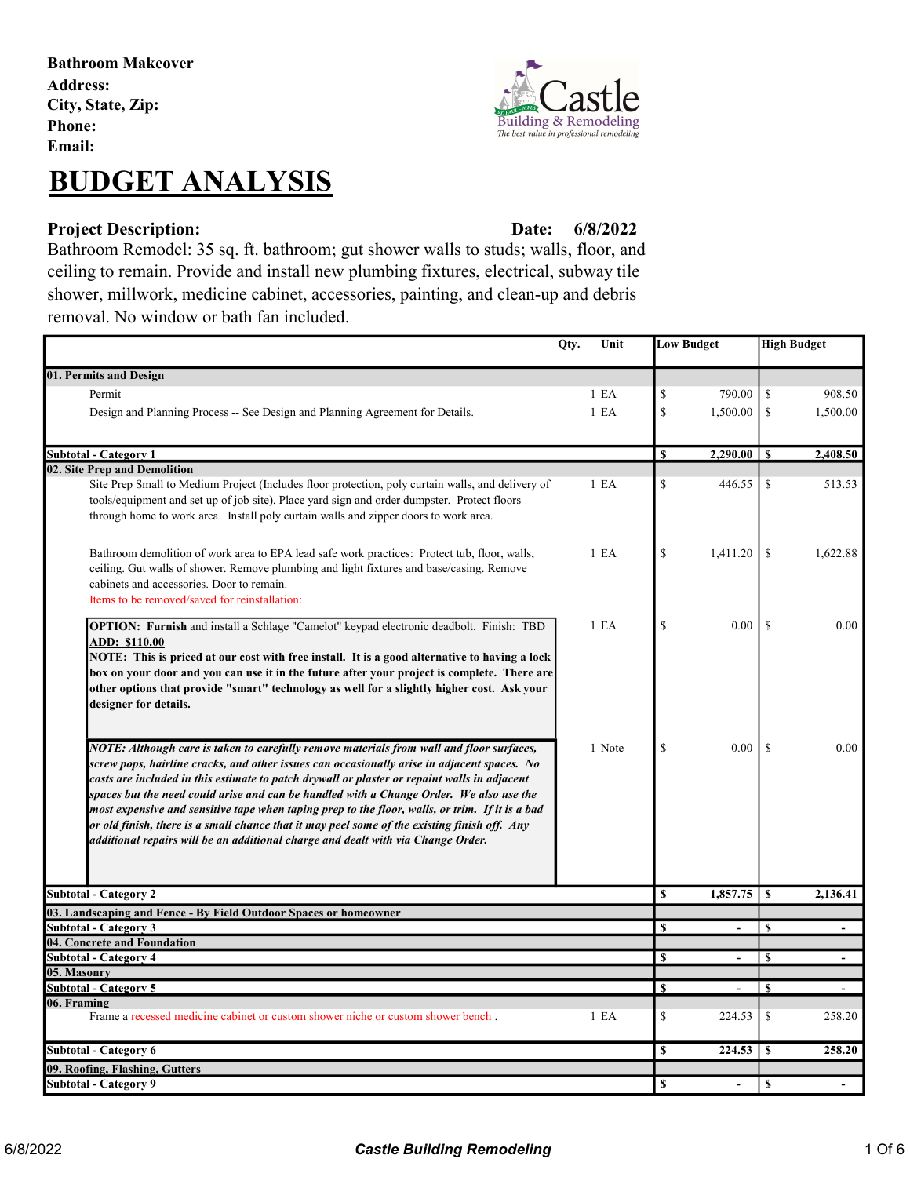Bathroom Makeover Address: City, State, Zip: Phone: Email:

# BUDGET ANALYSIS

### Project Description: Date:

6/8/2022

Bathroom Remodel: 35 sq. ft. bathroom; gut shower walls to studs; walls, floor, and ceiling to remain. Provide and install new plumbing fixtures, electrical, subway tile shower, millwork, medicine cabinet, accessories, painting, and clean-up and debris removal. No window or bath fan included.

| Qty.<br>Unit                                                                                                                                                                                                                                                                                                                                                                                                                                                                                                                                                                                                                                                              |                  | <b>Low Budget</b> |                 | <b>High Budget</b> |                |
|---------------------------------------------------------------------------------------------------------------------------------------------------------------------------------------------------------------------------------------------------------------------------------------------------------------------------------------------------------------------------------------------------------------------------------------------------------------------------------------------------------------------------------------------------------------------------------------------------------------------------------------------------------------------------|------------------|-------------------|-----------------|--------------------|----------------|
| 01. Permits and Design                                                                                                                                                                                                                                                                                                                                                                                                                                                                                                                                                                                                                                                    |                  |                   |                 |                    |                |
| Permit                                                                                                                                                                                                                                                                                                                                                                                                                                                                                                                                                                                                                                                                    | 1 E A            | \$                | 790.00          | \$                 | 908.50         |
| Design and Planning Process -- See Design and Planning Agreement for Details.                                                                                                                                                                                                                                                                                                                                                                                                                                                                                                                                                                                             | 1 E A            | \$                | 1,500.00        | \$                 | 1,500.00       |
|                                                                                                                                                                                                                                                                                                                                                                                                                                                                                                                                                                                                                                                                           |                  |                   |                 |                    |                |
| <b>Subtotal - Category 1</b>                                                                                                                                                                                                                                                                                                                                                                                                                                                                                                                                                                                                                                              |                  | <b>S</b>          | $2,290.00$   \$ |                    | 2,408.50       |
| 02. Site Prep and Demolition                                                                                                                                                                                                                                                                                                                                                                                                                                                                                                                                                                                                                                              |                  |                   |                 |                    |                |
| Site Prep Small to Medium Project (Includes floor protection, poly curtain walls, and delivery of<br>tools/equipment and set up of job site). Place yard sign and order dumpster. Protect floors<br>through home to work area. Install poly curtain walls and zipper doors to work area.                                                                                                                                                                                                                                                                                                                                                                                  | 1 <sub>E</sub> A | \$                | 446.55          | \$                 | 513.53         |
| Bathroom demolition of work area to EPA lead safe work practices: Protect tub, floor, walls,<br>ceiling. Gut walls of shower. Remove plumbing and light fixtures and base/casing. Remove<br>cabinets and accessories. Door to remain.<br>Items to be removed/saved for reinstallation:                                                                                                                                                                                                                                                                                                                                                                                    | 1 E <sub>A</sub> | \$                | 1,411.20        | \$                 | 1,622.88       |
| <b>OPTION:</b> Furnish and install a Schlage "Camelot" keypad electronic deadbolt. Finish: TBD<br>ADD: \$110.00<br>NOTE: This is priced at our cost with free install. It is a good alternative to having a lock<br>box on your door and you can use it in the future after your project is complete. There are<br>other options that provide "smart" technology as well for a slightly higher cost. Ask your<br>designer for details.                                                                                                                                                                                                                                    | 1 E <sub>A</sub> | \$                | 0.00            | $\mathcal{S}$      | 0.00           |
| NOTE: Although care is taken to carefully remove materials from wall and floor surfaces,<br>screw pops, hairline cracks, and other issues can occasionally arise in adjacent spaces. No<br>costs are included in this estimate to patch drywall or plaster or repaint walls in adjacent<br>spaces but the need could arise and can be handled with a Change Order. We also use the<br>most expensive and sensitive tape when taping prep to the floor, walls, or trim. If it is a bad<br>or old finish, there is a small chance that it may peel some of the existing finish off. Any<br>additional repairs will be an additional charge and dealt with via Change Order. | 1 Note           | \$                | 0.00            | <sup>\$</sup>      | 0.00           |
| <b>Subtotal - Category 2</b>                                                                                                                                                                                                                                                                                                                                                                                                                                                                                                                                                                                                                                              |                  | \$                | 1,857.75        | \$                 | 2,136.41       |
| 03. Landscaping and Fence - By Field Outdoor Spaces or homeowner                                                                                                                                                                                                                                                                                                                                                                                                                                                                                                                                                                                                          |                  |                   |                 |                    |                |
| <b>Subtotal - Category 3</b>                                                                                                                                                                                                                                                                                                                                                                                                                                                                                                                                                                                                                                              |                  | S                 | $\blacksquare$  | $\mathbf{s}$       | $\overline{a}$ |
| 04. Concrete and Foundation                                                                                                                                                                                                                                                                                                                                                                                                                                                                                                                                                                                                                                               |                  |                   |                 |                    |                |
| <b>Subtotal - Category 4</b>                                                                                                                                                                                                                                                                                                                                                                                                                                                                                                                                                                                                                                              |                  | S                 | $\overline{a}$  | $\mathbf{s}$       |                |
| 05. Masonry                                                                                                                                                                                                                                                                                                                                                                                                                                                                                                                                                                                                                                                               |                  |                   |                 |                    |                |
| Subtotal - Category 5                                                                                                                                                                                                                                                                                                                                                                                                                                                                                                                                                                                                                                                     |                  | S                 | $\blacksquare$  | \$                 |                |
| 06. Framing<br>Frame a recessed medicine cabinet or custom shower niche or custom shower bench.                                                                                                                                                                                                                                                                                                                                                                                                                                                                                                                                                                           | 1 E A            | \$                | 224.53          | \$                 | 258.20         |
| <b>Subtotal - Category 6</b>                                                                                                                                                                                                                                                                                                                                                                                                                                                                                                                                                                                                                                              |                  | $\mathbf S$       | 224.53          | \$                 | 258.20         |
| 09. Roofing, Flashing, Gutters                                                                                                                                                                                                                                                                                                                                                                                                                                                                                                                                                                                                                                            |                  |                   |                 |                    |                |
| Subtotal - Category 9                                                                                                                                                                                                                                                                                                                                                                                                                                                                                                                                                                                                                                                     |                  | <b>S</b>          | ÷,              | S                  |                |

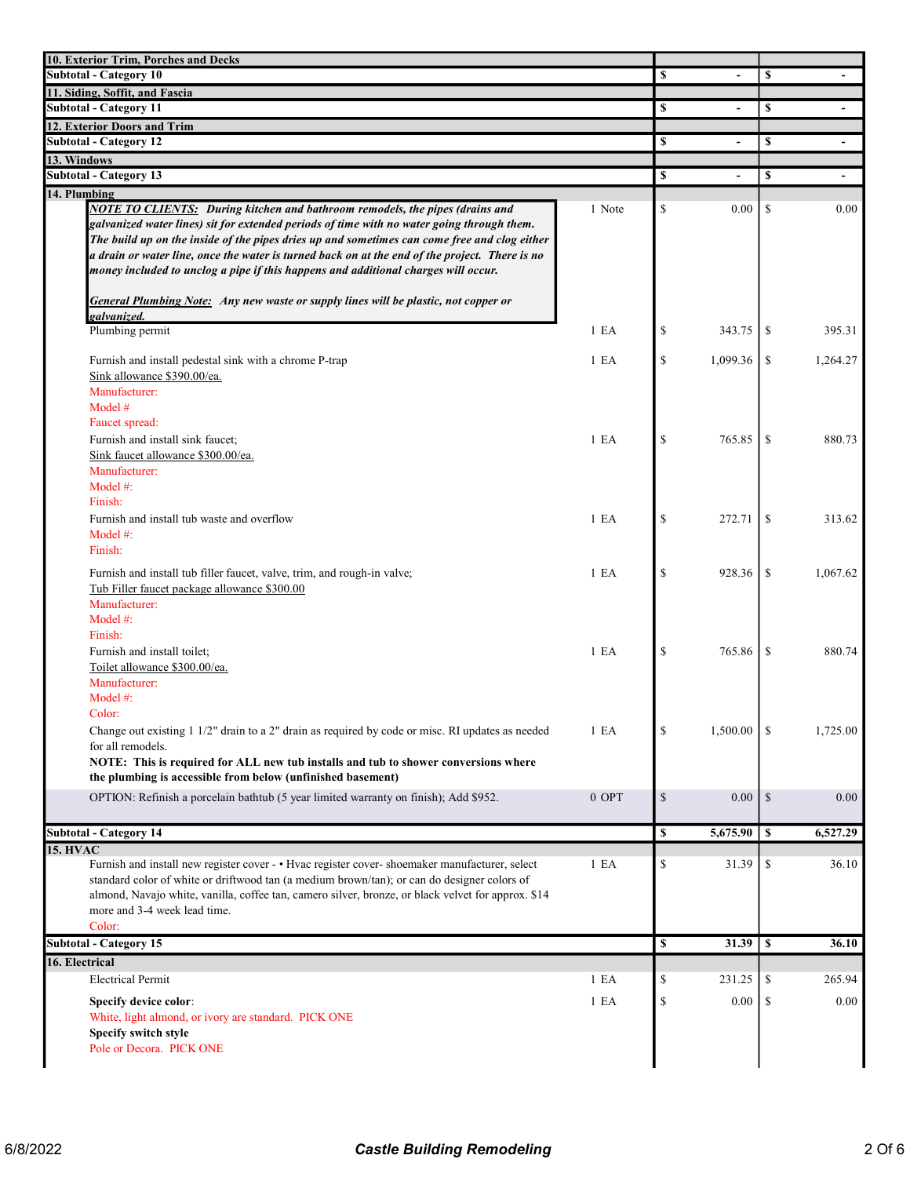| 10. Exterior Trim, Porches and Decks                                                                                                                                                                                                                                                                                                                                                                                                                                                                                                                                              |  |    |                |               |                          |
|-----------------------------------------------------------------------------------------------------------------------------------------------------------------------------------------------------------------------------------------------------------------------------------------------------------------------------------------------------------------------------------------------------------------------------------------------------------------------------------------------------------------------------------------------------------------------------------|--|----|----------------|---------------|--------------------------|
| <b>Subtotal - Category 10</b>                                                                                                                                                                                                                                                                                                                                                                                                                                                                                                                                                     |  | \$ |                | \$            |                          |
| 11. Siding, Soffit, and Fascia<br><b>Subtotal - Category 11</b>                                                                                                                                                                                                                                                                                                                                                                                                                                                                                                                   |  | \$ |                |               |                          |
| 12. Exterior Doors and Trim                                                                                                                                                                                                                                                                                                                                                                                                                                                                                                                                                       |  |    | $\blacksquare$ | <sup>\$</sup> |                          |
| <b>Subtotal - Category 12</b>                                                                                                                                                                                                                                                                                                                                                                                                                                                                                                                                                     |  | \$ | $\blacksquare$ | \$            | $\overline{\phantom{a}}$ |
| 13. Windows                                                                                                                                                                                                                                                                                                                                                                                                                                                                                                                                                                       |  |    |                |               |                          |
| <b>Subtotal - Category 13</b>                                                                                                                                                                                                                                                                                                                                                                                                                                                                                                                                                     |  | \$ | ÷,             | \$            |                          |
| 14. Plumbing                                                                                                                                                                                                                                                                                                                                                                                                                                                                                                                                                                      |  |    |                |               |                          |
| <b>NOTE TO CLIENTS:</b> During kitchen and bathroom remodels, the pipes (drains and<br>1 Note<br>galvanized water lines) sit for extended periods of time with no water going through them.<br>The build up on the inside of the pipes dries up and sometimes can come free and clog either<br>a drain or water line, once the water is turned back on at the end of the project. There is no<br>money included to unclog a pipe if this happens and additional charges will occur.<br><b>General Plumbing Note:</b> Any new waste or supply lines will be plastic, not copper or |  | \$ | 0.00           | \$            | 0.00                     |
| galvanized.<br>Plumbing permit<br>1 E <sub>A</sub>                                                                                                                                                                                                                                                                                                                                                                                                                                                                                                                                |  | \$ | 343.75         | -S            | 395.31                   |
|                                                                                                                                                                                                                                                                                                                                                                                                                                                                                                                                                                                   |  |    |                |               |                          |
| 1 E A<br>Furnish and install pedestal sink with a chrome P-trap<br>Sink allowance \$390.00/ea.<br>Manufacturer:<br>Model $#$<br>Faucet spread:                                                                                                                                                                                                                                                                                                                                                                                                                                    |  | \$ | 1,099.36       | \$            | 1,264.27                 |
| Furnish and install sink faucet;<br>1 E <sub>A</sub><br>Sink faucet allowance \$300.00/ea.<br>Manufacturer:<br>Model $#$ :<br>Finish:                                                                                                                                                                                                                                                                                                                                                                                                                                             |  | \$ | 765.85         | \$            | 880.73                   |
| Furnish and install tub waste and overflow<br>1 E A<br>Model #:<br>Finish:                                                                                                                                                                                                                                                                                                                                                                                                                                                                                                        |  | \$ | 272.71         | \$            | 313.62                   |
| Furnish and install tub filler faucet, valve, trim, and rough-in valve;<br>1 E <sub>A</sub><br>Tub Filler faucet package allowance \$300.00<br>Manufacturer:<br>Model #:                                                                                                                                                                                                                                                                                                                                                                                                          |  | \$ | 928.36         | \$            | 1,067.62                 |
| Finish:<br>Furnish and install toilet;<br>1 E <sub>A</sub><br>Toilet allowance \$300.00/ea.<br>Manufacturer:<br>Model $#$ :                                                                                                                                                                                                                                                                                                                                                                                                                                                       |  | \$ | 765.86         | \$            | 880.74                   |
| Color:<br>Change out existing 1 1/2" drain to a 2" drain as required by code or misc. RI updates as needed<br>1 E A<br>for all remodels.<br>NOTE: This is required for ALL new tub installs and tub to shower conversions where<br>the plumbing is accessible from below (unfinished basement)                                                                                                                                                                                                                                                                                    |  | \$ | 1,500.00       | -S            | 1,725.00                 |
| OPTION: Refinish a porcelain bathtub (5 year limited warranty on finish); Add \$952.<br>$0$ OPT                                                                                                                                                                                                                                                                                                                                                                                                                                                                                   |  | \$ | 0.00           | \$            | 0.00                     |
| <b>Subtotal - Category 14</b>                                                                                                                                                                                                                                                                                                                                                                                                                                                                                                                                                     |  | \$ | 5,675.90       | $\mathbf{s}$  | 6,527.29                 |
| <b>15. HVAC</b>                                                                                                                                                                                                                                                                                                                                                                                                                                                                                                                                                                   |  |    |                |               |                          |
| Furnish and install new register cover - • Hvac register cover- shoemaker manufacturer, select<br>1 E A<br>standard color of white or driftwood tan (a medium brown/tan); or can do designer colors of<br>almond, Navajo white, vanilla, coffee tan, camero silver, bronze, or black velvet for approx. \$14<br>more and 3-4 week lead time.<br>Color:                                                                                                                                                                                                                            |  | \$ | 31.39          | \$            | 36.10                    |
| <b>Subtotal - Category 15</b>                                                                                                                                                                                                                                                                                                                                                                                                                                                                                                                                                     |  | \$ | 31.39          | $\mathbf{s}$  | 36.10                    |
| 16. Electrical                                                                                                                                                                                                                                                                                                                                                                                                                                                                                                                                                                    |  |    |                |               |                          |
| <b>Electrical Permit</b><br>1 E A                                                                                                                                                                                                                                                                                                                                                                                                                                                                                                                                                 |  | \$ | 231.25         | \$            | 265.94                   |
| 1 E A<br>Specify device color:<br>White, light almond, or ivory are standard. PICK ONE<br>Specify switch style<br>Pole or Decora. PICK ONE                                                                                                                                                                                                                                                                                                                                                                                                                                        |  | \$ | 0.00           | \$            | 0.00                     |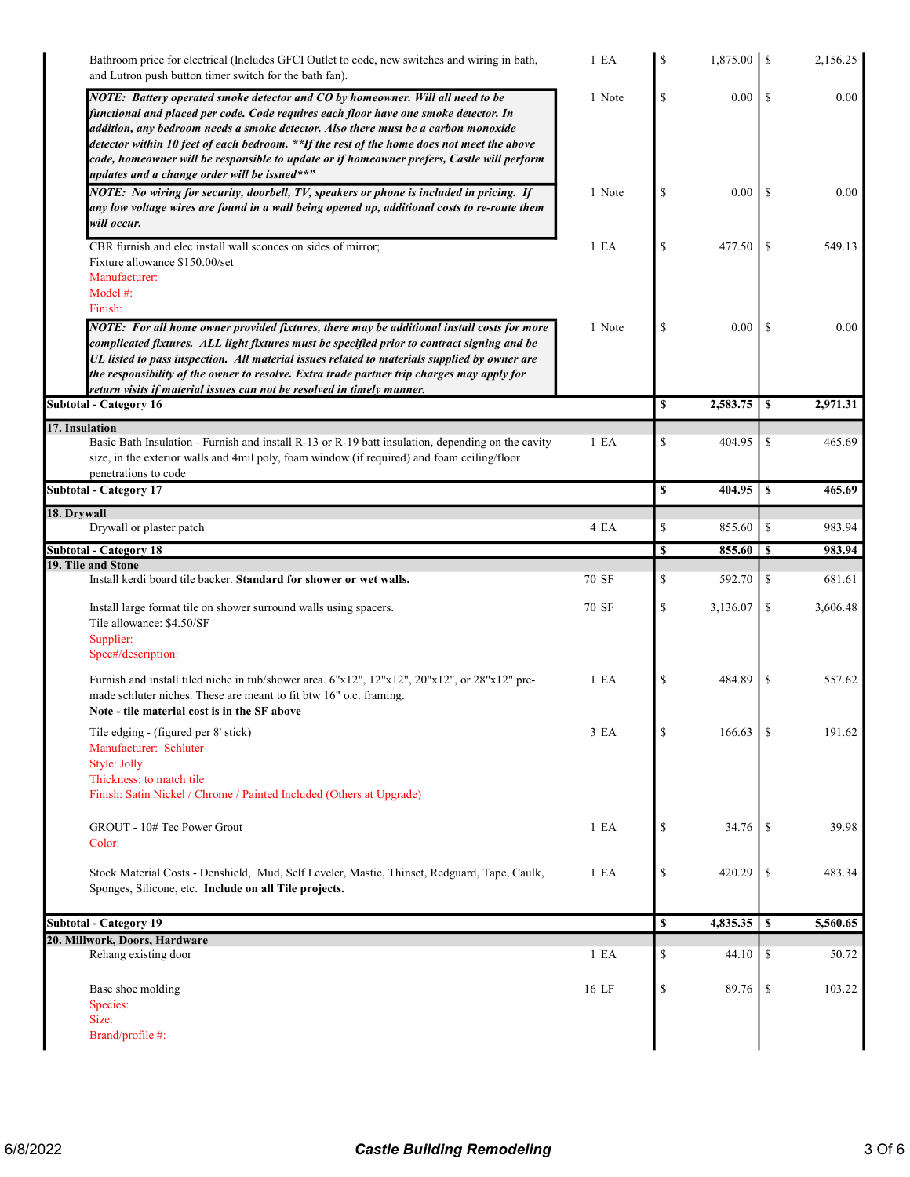| Bathroom price for electrical (Includes GFCI Outlet to code, new switches and wiring in bath,<br>and Lutron push button timer switch for the bath fan).                                                                                                                                                                                                                                                                                                                                                  | 1 E A  | \$          |          |               | 2,156.25 |
|----------------------------------------------------------------------------------------------------------------------------------------------------------------------------------------------------------------------------------------------------------------------------------------------------------------------------------------------------------------------------------------------------------------------------------------------------------------------------------------------------------|--------|-------------|----------|---------------|----------|
| NOTE: Battery operated smoke detector and CO by homeowner. Will all need to be<br>functional and placed per code. Code requires each floor have one smoke detector. In<br>addition, any bedroom needs a smoke detector. Also there must be a carbon monoxide<br>detector within 10 feet of each bedroom. **If the rest of the home does not meet the above<br>code, homeowner will be responsible to update or if homeowner prefers, Castle will perform<br>updates and a change order will be issued**" | 1 Note | \$          | 0.00     | S             | 0.00     |
| NOTE: No wiring for security, doorbell, TV, speakers or phone is included in pricing. If<br>any low voltage wires are found in a wall being opened up, additional costs to re-route them<br>will occur.                                                                                                                                                                                                                                                                                                  | 1 Note | \$          | 0.00     | -S            | 0.00     |
| CBR furnish and elec install wall sconces on sides of mirror:<br>Fixture allowance \$150.00/set<br>Manufacturer:<br>Model #:<br>Finish:                                                                                                                                                                                                                                                                                                                                                                  | 1 E A  | \$          | 477.50   | <sup>\$</sup> | 549.13   |
| NOTE: For all home owner provided fixtures, there may be additional install costs for more<br>complicated fixtures. ALL light fixtures must be specified prior to contract signing and be<br>UL listed to pass inspection. All material issues related to materials supplied by owner are<br>the responsibility of the owner to resolve. Extra trade partner trip charges may apply for<br>return visits if material issues can not be resolved in timely manner.                                        | 1 Note | \$          | 0.00     | -S            | 0.00     |
| <b>Subtotal - Category 16</b>                                                                                                                                                                                                                                                                                                                                                                                                                                                                            |        | S           | 2,583.75 | S             | 2,971.31 |
| 17. Insulation<br>Basic Bath Insulation - Furnish and install R-13 or R-19 batt insulation, depending on the cavity<br>size, in the exterior walls and 4mil poly, foam window (if required) and foam ceiling/floor<br>penetrations to code                                                                                                                                                                                                                                                               | 1 E A  | \$          | 404.95   | \$            | 465.69   |
| <b>Subtotal - Category 17</b>                                                                                                                                                                                                                                                                                                                                                                                                                                                                            |        | $\mathbf S$ | 404.95   | \$            | 465.69   |
| 18. Drywall<br>Drywall or plaster patch                                                                                                                                                                                                                                                                                                                                                                                                                                                                  | 4 EA   | \$          | 855.60   | \$            | 983.94   |
| <b>Subtotal - Category 18</b><br>19. Tile and Stone                                                                                                                                                                                                                                                                                                                                                                                                                                                      |        | \$          | 855.60   | <sup>\$</sup> | 983.94   |
| Install kerdi board tile backer. Standard for shower or wet walls.                                                                                                                                                                                                                                                                                                                                                                                                                                       | 70 SF  | \$          | 592.70   | \$            | 681.61   |
| Install large format tile on shower surround walls using spacers.<br>Tile allowance: \$4.50/SF<br>Supplier:<br>Spec#/description:                                                                                                                                                                                                                                                                                                                                                                        | 70 SF  | \$          | 3,136.07 | \$            | 3,606.48 |
| Furnish and install tiled niche in tub/shower area. $6"x12", 12"x12", 20"x12", or 28"x12" pre-$<br>made schluter niches. These are meant to fit btw 16" o.c. framing.<br>Note - tile material cost is in the SF above                                                                                                                                                                                                                                                                                    | 1 E A  | \$          | 484.89   | \$            | 557.62   |
| Tile edging - (figured per 8' stick)<br>Manufacturer: Schluter<br>Style: Jolly<br>Thickness: to match tile<br>Finish: Satin Nickel / Chrome / Painted Included (Others at Upgrade)                                                                                                                                                                                                                                                                                                                       | 3 EA   | \$          | 166.63   | \$            | 191.62   |
| GROUT - 10# Tec Power Grout<br>Color:                                                                                                                                                                                                                                                                                                                                                                                                                                                                    | 1 E A  | \$          | 34.76    | <sup>\$</sup> | 39.98    |
| Stock Material Costs - Denshield, Mud, Self Leveler, Mastic, Thinset, Redguard, Tape, Caulk,<br>Sponges, Silicone, etc. Include on all Tile projects.                                                                                                                                                                                                                                                                                                                                                    | 1 E A  | \$          | 420.29   | \$            | 483.34   |
| <b>Subtotal - Category 19</b>                                                                                                                                                                                                                                                                                                                                                                                                                                                                            |        | $\mathbb S$ | 4,835.35 | $\mathbf{s}$  | 5,560.65 |
| 20. Millwork, Doors, Hardware                                                                                                                                                                                                                                                                                                                                                                                                                                                                            |        |             |          |               |          |
| Rehang existing door                                                                                                                                                                                                                                                                                                                                                                                                                                                                                     | 1 E A  | \$          | 44.10    | \$            | 50.72    |
| Base shoe molding<br>Species:<br>Size:<br>Brand/profile #:                                                                                                                                                                                                                                                                                                                                                                                                                                               | 16 LF  | \$          | 89.76    | \$            | 103.22   |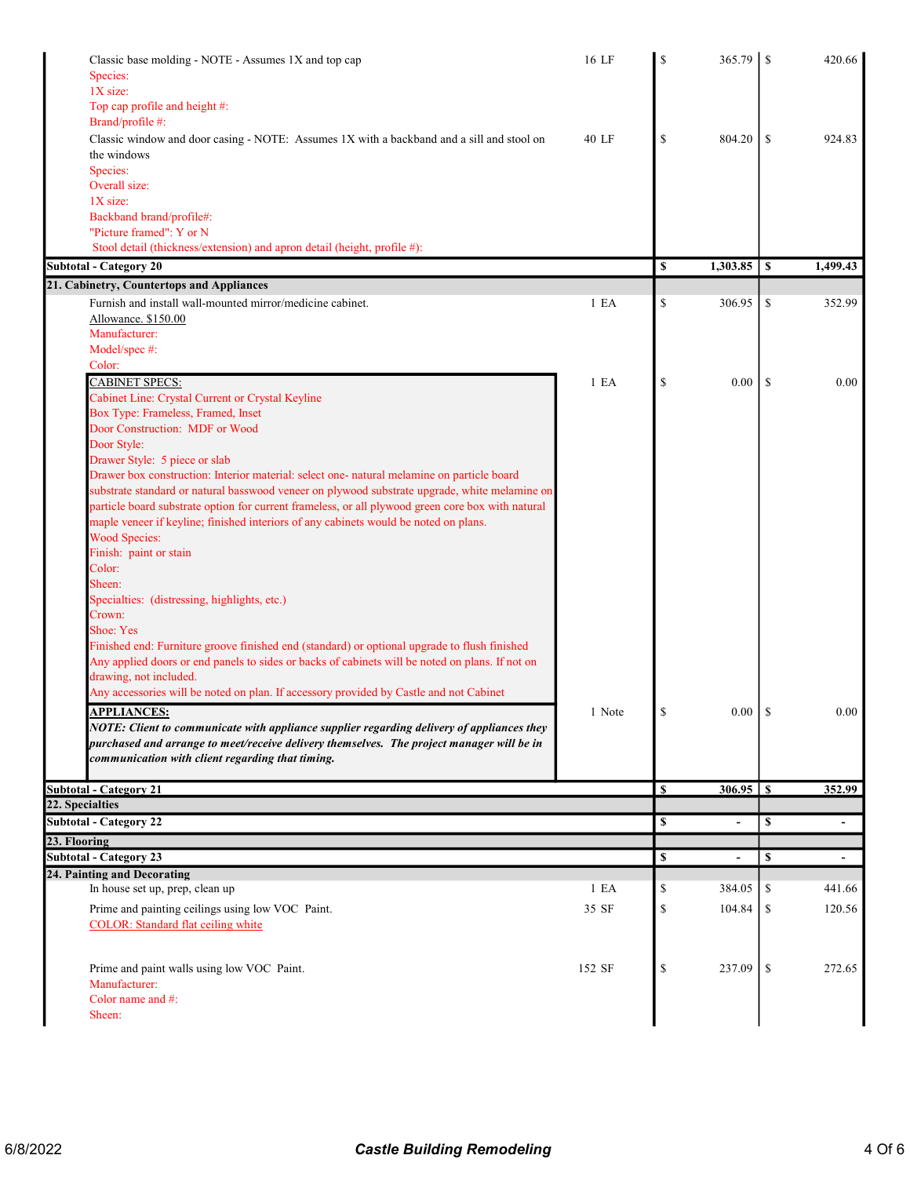| Classic base molding - NOTE - Assumes 1X and top cap                                              | 16 LF  | \$            | 365.79   | -S | 420.66   |
|---------------------------------------------------------------------------------------------------|--------|---------------|----------|----|----------|
| Species:<br>1X size:                                                                              |        |               |          |    |          |
| Top cap profile and height #:                                                                     |        |               |          |    |          |
| Brand/profile #:                                                                                  |        |               |          |    |          |
| Classic window and door casing - NOTE: Assumes 1X with a backband and a sill and stool on         | 40 LF  | $\mathcal{S}$ | 804.20   | -S | 924.83   |
| the windows                                                                                       |        |               |          |    |          |
| Species:                                                                                          |        |               |          |    |          |
| Overall size:                                                                                     |        |               |          |    |          |
| 1X size:                                                                                          |        |               |          |    |          |
| Backband brand/profile#:                                                                          |        |               |          |    |          |
| "Picture framed": Y or N                                                                          |        |               |          |    |          |
| Stool detail (thickness/extension) and apron detail (height, profile #):                          |        |               |          |    |          |
| <b>Subtotal - Category 20</b>                                                                     |        | \$            | 1,303.85 | -S | 1,499.43 |
| 21. Cabinetry, Countertops and Appliances                                                         |        |               |          |    |          |
| Furnish and install wall-mounted mirror/medicine cabinet.                                         | 1 E A  | \$            | 306.95   | \$ | 352.99   |
| Allowance. \$150.00<br>Manufacturer:                                                              |        |               |          |    |          |
| Model/spec #:                                                                                     |        |               |          |    |          |
| Color:                                                                                            |        |               |          |    |          |
| <b>CABINET SPECS:</b>                                                                             | 1 E A  | $\mathcal{S}$ | 0.00     | -S | 0.00     |
| Cabinet Line: Crystal Current or Crystal Keyline                                                  |        |               |          |    |          |
| Box Type: Frameless, Framed, Inset                                                                |        |               |          |    |          |
| Door Construction: MDF or Wood                                                                    |        |               |          |    |          |
| Door Style:                                                                                       |        |               |          |    |          |
| Drawer Style: 5 piece or slab                                                                     |        |               |          |    |          |
| Drawer box construction: Interior material: select one- natural melamine on particle board        |        |               |          |    |          |
| substrate standard or natural basswood veneer on plywood substrate upgrade, white melamine on     |        |               |          |    |          |
| particle board substrate option for current frameless, or all plywood green core box with natural |        |               |          |    |          |
| maple veneer if keyline; finished interiors of any cabinets would be noted on plans.              |        |               |          |    |          |
| <b>Wood Species:</b>                                                                              |        |               |          |    |          |
| Finish: paint or stain                                                                            |        |               |          |    |          |
| Color:                                                                                            |        |               |          |    |          |
| Sheen:<br>Specialties: (distressing, highlights, etc.)                                            |        |               |          |    |          |
| Crown:                                                                                            |        |               |          |    |          |
| Shoe: Yes                                                                                         |        |               |          |    |          |
| Finished end: Furniture groove finished end (standard) or optional upgrade to flush finished      |        |               |          |    |          |
| Any applied doors or end panels to sides or backs of cabinets will be noted on plans. If not on   |        |               |          |    |          |
| drawing, not included.                                                                            |        |               |          |    |          |
| Any accessories will be noted on plan. If accessory provided by Castle and not Cabinet            |        |               |          |    |          |
| <b>APPLIANCES:</b>                                                                                | 1 Note |               |          |    | 0.00     |
| NOTE: Client to communicate with appliance supplier regarding delivery of appliances they         |        |               |          |    |          |
| purchased and arrange to meet/receive delivery themselves. The project manager will be in         |        |               |          |    |          |
| communication with client regarding that timing.                                                  |        |               |          |    |          |
|                                                                                                   |        |               |          |    |          |
| <b>Subtotal - Category 21</b>                                                                     |        | <b>S</b>      |          |    | 352.99   |
| 22. Specialties                                                                                   |        |               |          |    |          |
| <b>Subtotal - Category 22</b>                                                                     |        | S             |          | \$ |          |
| 23. Flooring                                                                                      |        |               |          |    |          |
| <b>Subtotal - Category 23</b>                                                                     |        | \$            |          | \$ |          |
| 24. Painting and Decorating<br>In house set up, prep, clean up                                    | 1 E A  | \$            | 384.05   | \$ | 441.66   |
|                                                                                                   |        |               |          |    |          |
| Prime and painting ceilings using low VOC Paint.                                                  | 35 SF  | \$            | 104.84   | \$ | 120.56   |
| COLOR: Standard flat ceiling white                                                                |        |               |          |    |          |
|                                                                                                   |        |               |          |    |          |
| Prime and paint walls using low VOC Paint.                                                        | 152 SF | \$            | 237.09   | -S | 272.65   |
| Manufacturer:                                                                                     |        |               |          |    |          |
| Color name and #:                                                                                 |        |               |          |    |          |
| Sheen:                                                                                            |        |               |          |    |          |
|                                                                                                   |        |               |          |    |          |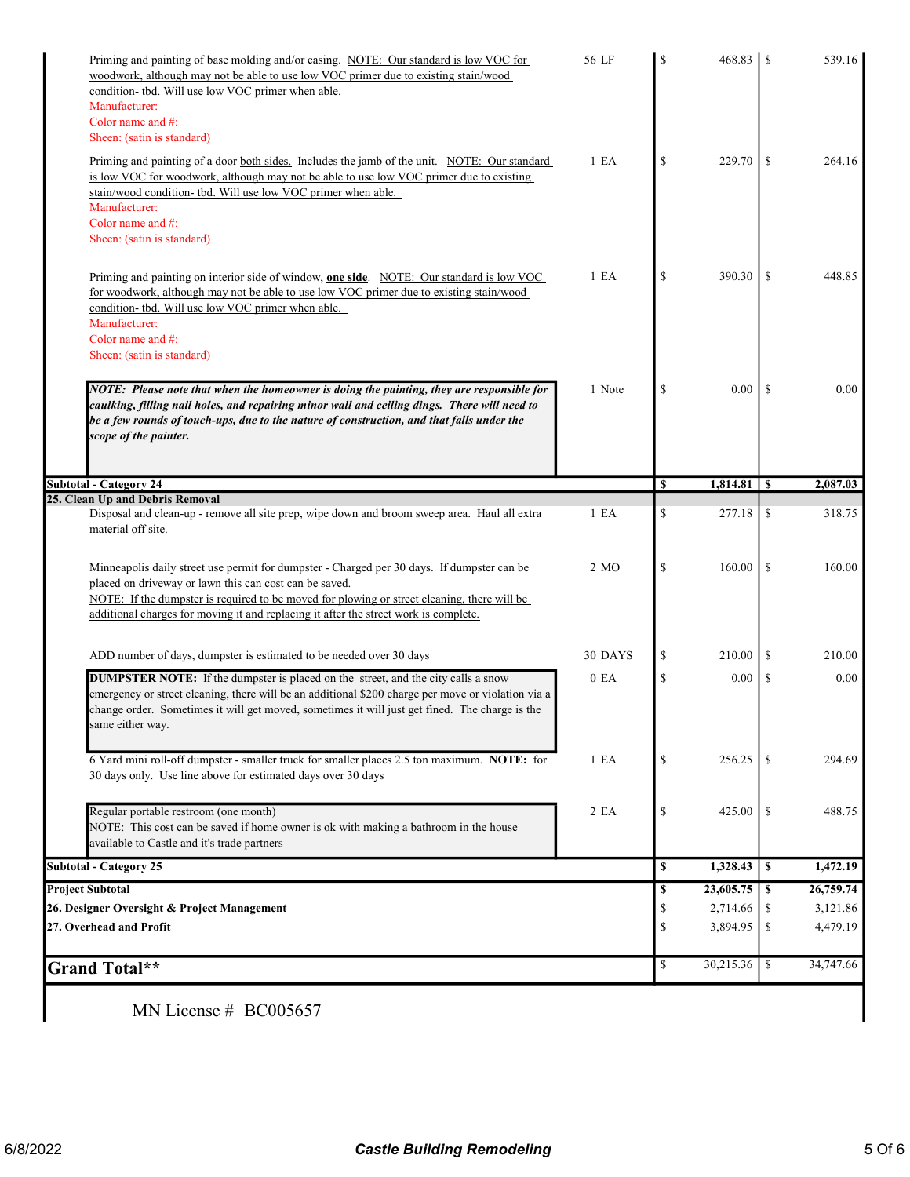| woodwork, although may not be able to use low VOC primer due to existing stain/wood<br>condition- tbd. Will use low VOC primer when able.                                                                                                                                                                                                   | 56 LF            | $\mathbf S$   | 468.83    | <sup>\$</sup>  | 539.16                                        |
|---------------------------------------------------------------------------------------------------------------------------------------------------------------------------------------------------------------------------------------------------------------------------------------------------------------------------------------------|------------------|---------------|-----------|----------------|-----------------------------------------------|
| Manufacturer:                                                                                                                                                                                                                                                                                                                               |                  |               |           |                |                                               |
| Color name and #:                                                                                                                                                                                                                                                                                                                           |                  |               |           |                |                                               |
| Sheen: (satin is standard)                                                                                                                                                                                                                                                                                                                  |                  |               |           |                |                                               |
| Priming and painting of a door both sides. Includes the jamb of the unit. NOTE: Our standard<br>is low VOC for woodwork, although may not be able to use low VOC primer due to existing<br>stain/wood condition- tbd. Will use low VOC primer when able.                                                                                    | 1 E A            | \$            | 229.70    | <sup>\$</sup>  | 264.16                                        |
| Manufacturer:                                                                                                                                                                                                                                                                                                                               |                  |               |           |                |                                               |
| Color name and #:                                                                                                                                                                                                                                                                                                                           |                  |               |           |                |                                               |
| Sheen: (satin is standard)                                                                                                                                                                                                                                                                                                                  |                  |               |           |                |                                               |
| Priming and painting on interior side of window, <b>one side</b> . NOTE: Our standard is low VOC<br>for woodwork, although may not be able to use low VOC primer due to existing stain/wood                                                                                                                                                 | 1 E A            | \$            | 390.30    | \$             | 448.85                                        |
| condition- tbd. Will use low VOC primer when able.<br>Manufacturer:<br>Color name and #:                                                                                                                                                                                                                                                    |                  |               |           |                |                                               |
| Sheen: (satin is standard)                                                                                                                                                                                                                                                                                                                  |                  |               |           |                |                                               |
| NOTE: Please note that when the homeowner is doing the painting, they are responsible for<br>caulking, filling nail holes, and repairing minor wall and ceiling dings. There will need to<br>be a few rounds of touch-ups, due to the nature of construction, and that falls under the<br>scope of the painter.                             | 1 Note           | \$            | 0.00      | <sup>\$</sup>  | 0.00                                          |
| <b>Subtotal - Category 24</b>                                                                                                                                                                                                                                                                                                               |                  | <sup>\$</sup> | 1,814.81  | $\overline{1}$ | 2,087.03                                      |
| 25. Clean Up and Debris Removal                                                                                                                                                                                                                                                                                                             |                  |               |           |                |                                               |
| Disposal and clean-up - remove all site prep, wipe down and broom sweep area. Haul all extra<br>material off site.                                                                                                                                                                                                                          | 1 E A            | \$            | 277.18    | \$             | 318.75                                        |
|                                                                                                                                                                                                                                                                                                                                             |                  |               |           |                |                                               |
| Minneapolis daily street use permit for dumpster - Charged per 30 days. If dumpster can be<br>placed on driveway or lawn this can cost can be saved.<br>NOTE: If the dumpster is required to be moved for plowing or street cleaning, there will be<br>additional charges for moving it and replacing it after the street work is complete. | 2 MO             | $\mathbb{S}$  | 160.00    | \$             |                                               |
| ADD number of days, dumpster is estimated to be needed over 30 days                                                                                                                                                                                                                                                                         | 30 DAYS          | \$            | 210.00    | \$             |                                               |
| <b>DUMPSTER NOTE:</b> If the dumpster is placed on the street, and the city calls a snow<br>emergency or street cleaning, there will be an additional \$200 charge per move or violation via a<br>change order. Sometimes it will get moved, sometimes it will just get fined. The charge is the<br>same either way.                        | 0 E <sub>A</sub> | \$            | 0.00      | <sup>\$</sup>  |                                               |
| 6 Yard mini roll-off dumpster - smaller truck for smaller places 2.5 ton maximum. NOTE: for<br>30 days only. Use line above for estimated days over 30 days                                                                                                                                                                                 | 1 E A            | \$            | 256.25    | S              | 160.00<br>210.00<br>0.00<br>294.69            |
| Regular portable restroom (one month)<br>NOTE: This cost can be saved if home owner is ok with making a bathroom in the house<br>available to Castle and it's trade partners                                                                                                                                                                | 2 EA             | \$            | 425.00    | <sup>\$</sup>  | 488.75                                        |
| <b>Subtotal - Category 25</b>                                                                                                                                                                                                                                                                                                               |                  | \$            | 1,328.43  | l S            |                                               |
| <b>Project Subtotal</b>                                                                                                                                                                                                                                                                                                                     |                  | \$            | 23,605.75 | l S            |                                               |
| 26. Designer Oversight & Project Management                                                                                                                                                                                                                                                                                                 |                  | \$            | 2,714.66  | -S             |                                               |
| 27. Overhead and Profit                                                                                                                                                                                                                                                                                                                     |                  | \$            | 3,894.95  | -\$            | 1,472.19<br>26,759.74<br>3,121.86<br>4,479.19 |